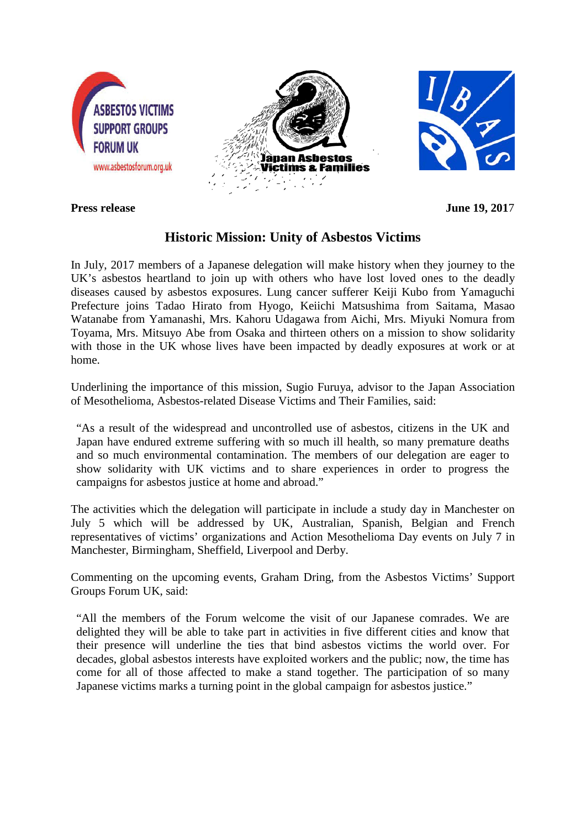

**Press release** June 19, 2017

## **Historic Mission: Unity of Asbestos Victims**

In July, 2017 members of a Japanese delegation will make history when they journey to the UK's asbestos heartland to join up with others who have lost loved ones to the deadly diseases caused by asbestos exposures. Lung cancer sufferer Keiji Kubo from Yamaguchi Prefecture joins Tadao Hirato from Hyogo, Keiichi Matsushima from Saitama, Masao Watanabe from Yamanashi, Mrs. Kahoru Udagawa from Aichi, Mrs. Miyuki Nomura from Toyama, Mrs. Mitsuyo Abe from Osaka and thirteen others on a mission to show solidarity with those in the UK whose lives have been impacted by deadly exposures at work or at home.

Underlining the importance of this mission, Sugio Furuya, advisor to the Japan Association of Mesothelioma, Asbestos-related Disease Victims and Their Families, said:

"As a result of the widespread and uncontrolled use of asbestos, citizens in the UK and Japan have endured extreme suffering with so much ill health, so many premature deaths and so much environmental contamination. The members of our delegation are eager to show solidarity with UK victims and to share experiences in order to progress the campaigns for asbestos justice at home and abroad."

The activities which the delegation will participate in include a study day in Manchester on July 5 which will be addressed by UK, Australian, Spanish, Belgian and French representatives of victims' organizations and Action Mesothelioma Day events on July 7 in Manchester, Birmingham, Sheffield, Liverpool and Derby.

Commenting on the upcoming events, Graham Dring, from the Asbestos Victims' Support Groups Forum UK, said:

"All the members of the Forum welcome the visit of our Japanese comrades. We are delighted they will be able to take part in activities in five different cities and know that their presence will underline the ties that bind asbestos victims the world over. For decades, global asbestos interests have exploited workers and the public; now, the time has come for all of those affected to make a stand together. The participation of so many Japanese victims marks a turning point in the global campaign for asbestos justice."